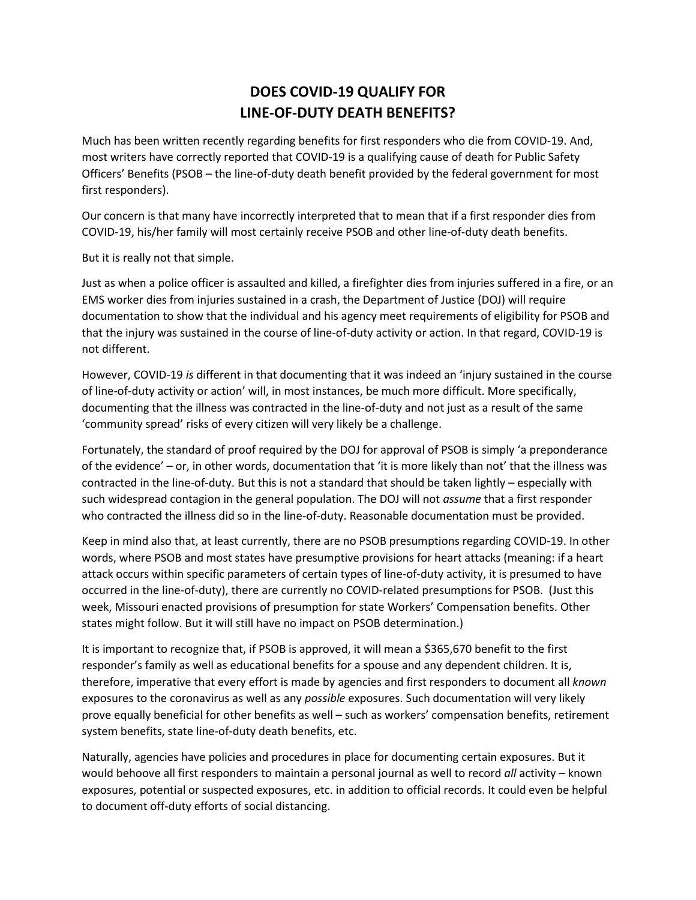## **DOES COVID-19 QUALIFY FOR LINE-OF-DUTY DEATH BENEFITS?**

Much has been written recently regarding benefits for first responders who die from COVID-19. And, most writers have correctly reported that COVID-19 is a qualifying cause of death for Public Safety Officers' Benefits (PSOB – the line-of-duty death benefit provided by the federal government for most first responders).

Our concern is that many have incorrectly interpreted that to mean that if a first responder dies from COVID-19, his/her family will most certainly receive PSOB and other line-of-duty death benefits.

But it is really not that simple.

Just as when a police officer is assaulted and killed, a firefighter dies from injuries suffered in a fire, or an EMS worker dies from injuries sustained in a crash, the Department of Justice (DOJ) will require documentation to show that the individual and his agency meet requirements of eligibility for PSOB and that the injury was sustained in the course of line-of-duty activity or action. In that regard, COVID-19 is not different.

However, COVID-19 *is* different in that documenting that it was indeed an 'injury sustained in the course of line-of-duty activity or action' will, in most instances, be much more difficult. More specifically, documenting that the illness was contracted in the line-of-duty and not just as a result of the same 'community spread' risks of every citizen will very likely be a challenge.

Fortunately, the standard of proof required by the DOJ for approval of PSOB is simply 'a preponderance of the evidence' – or, in other words, documentation that 'it is more likely than not' that the illness was contracted in the line-of-duty. But this is not a standard that should be taken lightly – especially with such widespread contagion in the general population. The DOJ will not *assume* that a first responder who contracted the illness did so in the line-of-duty. Reasonable documentation must be provided.

Keep in mind also that, at least currently, there are no PSOB presumptions regarding COVID-19. In other words, where PSOB and most states have presumptive provisions for heart attacks (meaning: if a heart attack occurs within specific parameters of certain types of line-of-duty activity, it is presumed to have occurred in the line-of-duty), there are currently no COVID-related presumptions for PSOB. (Just this week, Missouri enacted provisions of presumption for state Workers' Compensation benefits. Other states might follow. But it will still have no impact on PSOB determination.)

It is important to recognize that, if PSOB is approved, it will mean a \$365,670 benefit to the first responder's family as well as educational benefits for a spouse and any dependent children. It is, therefore, imperative that every effort is made by agencies and first responders to document all *known* exposures to the coronavirus as well as any *possible* exposures. Such documentation will very likely prove equally beneficial for other benefits as well – such as workers' compensation benefits, retirement system benefits, state line-of-duty death benefits, etc.

Naturally, agencies have policies and procedures in place for documenting certain exposures. But it would behoove all first responders to maintain a personal journal as well to record *all* activity – known exposures, potential or suspected exposures, etc. in addition to official records. It could even be helpful to document off-duty efforts of social distancing.